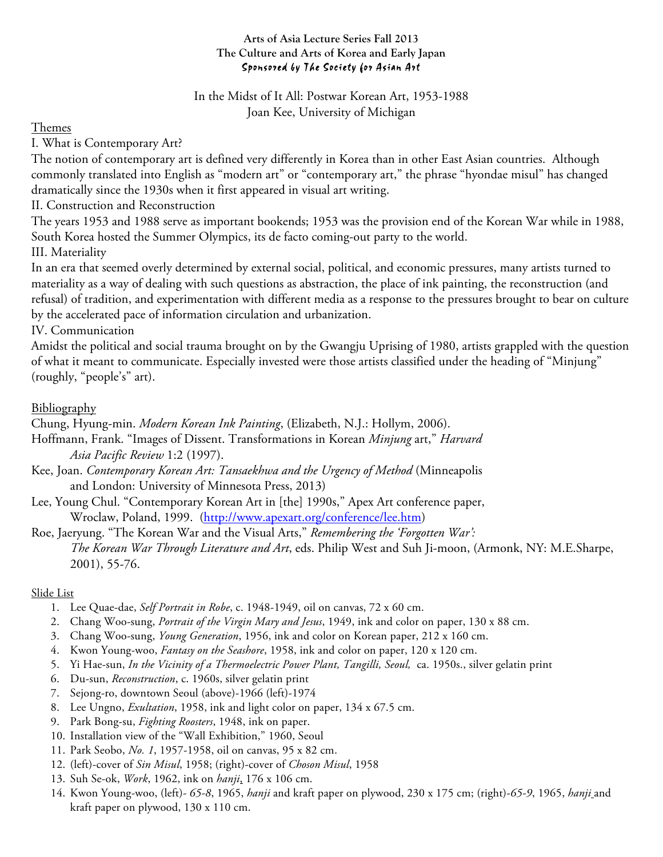## **Arts of Asia Lecture Series Fall 2013 The Culture and Arts of Korea and Early Japan** Sponsored by The Society for Asian Art

In the Midst of It All: Postwar Korean Art, 1953-1988 Joan Kee, University of Michigan

Themes

I. What is Contemporary Art?

The notion of contemporary art is defined very differently in Korea than in other East Asian countries. Although commonly translated into English as "modern art" or "contemporary art," the phrase "hyondae misul" has changed dramatically since the 1930s when it first appeared in visual art writing.

II. Construction and Reconstruction

The years 1953 and 1988 serve as important bookends; 1953 was the provision end of the Korean War while in 1988, South Korea hosted the Summer Olympics, its de facto coming-out party to the world.

III. Materiality

In an era that seemed overly determined by external social, political, and economic pressures, many artists turned to materiality as a way of dealing with such questions as abstraction, the place of ink painting, the reconstruction (and refusal) of tradition, and experimentation with different media as a response to the pressures brought to bear on culture by the accelerated pace of information circulation and urbanization.

IV. Communication

Amidst the political and social trauma brought on by the Gwangju Uprising of 1980, artists grappled with the question of what it meant to communicate. Especially invested were those artists classified under the heading of "Minjung" (roughly, "people's" art).

## **Bibliography**

Chung, Hyung-min. *Modern Korean Ink Painting*, (Elizabeth, N.J.: Hollym, 2006).

Hoffmann, Frank. "Images of Dissent. Transformations in Korean *Minjung* art," *Harvard Asia Pacific Review* 1:2 (1997).

Kee, Joan. *Contemporary Korean Art: Tansaekhwa and the Urgency of Method* (Minneapolis and London: University of Minnesota Press, 2013)

Lee, Young Chul. "Contemporary Korean Art in [the] 1990s," Apex Art conference paper, Wroclaw, Poland, 1999. (http://www.apexart.org/conference/lee.htm)

Roe, Jaeryung. "The Korean War and the Visual Arts," *Remembering the 'Forgotten War': The Korean War Through Literature and Art*, eds. Philip West and Suh Ji-moon, (Armonk, NY: M.E.Sharpe, 2001), 55-76.

## Slide List

- 1. Lee Quae-dae, *Self Portrait in Robe*, c. 1948-1949, oil on canvas, 72 x 60 cm.
- 2. Chang Woo-sung, *Portrait of the Virgin Mary and Jesus*, 1949, ink and color on paper, 130 x 88 cm.
- 3. Chang Woo-sung, *Young Generation*, 1956, ink and color on Korean paper, 212 x 160 cm.
- 4. Kwon Young-woo, *Fantasy on the Seashore*, 1958, ink and color on paper, 120 x 120 cm.
- 5. Yi Hae-sun, *In the Vicinity of a Thermoelectric Power Plant, Tangilli, Seoul,* ca. 1950s., silver gelatin print
- 6. Du-sun, *Reconstruction*, c. 1960s, silver gelatin print
- 7. Sejong-ro, downtown Seoul (above)-1966 (left)-1974
- 8. Lee Ungno, *Exultation*, 1958, ink and light color on paper, 134 x 67.5 cm.
- 9. Park Bong-su, *Fighting Roosters*, 1948, ink on paper.
- 10. Installation view of the "Wall Exhibition," 1960, Seoul
- 11. Park Seobo, *No. 1*, 1957-1958, oil on canvas, 95 x 82 cm.
- 12. (left)-cover of *Sin Misul*, 1958; (right)-cover of *Choson Misul*, 1958
- 13. Suh Se-ok, *Work*, 1962, ink on *hanji*, 176 x 106 cm.
- 14. Kwon Young-woo, (left)- *65-8*, 1965, *hanji* and kraft paper on plywood, 230 x 175 cm; (right)-*65-9*, 1965, *hanji* and kraft paper on plywood, 130 x 110 cm.